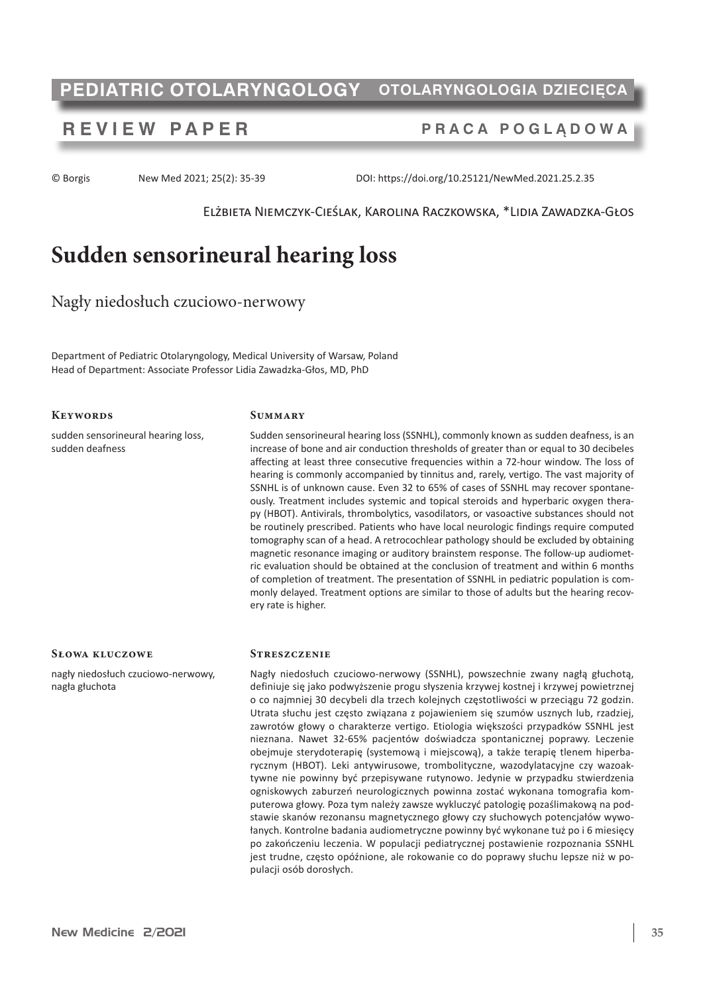# **PEDIATRIC OTOLARYNGOLOGY OTOLARYNGOLOGIA DZIECIĘCA**

## **REVIEW PAPER PRACA POGLĄDOWA**

© Borgis New Med 2021; 25(2): 35-39 DOI: https://doi.org/10.25121/NewMed.2021.25.2.35

Elżbieta Niemczyk-Cieślak, Karolina Raczkowska, \*Lidia Zawadzka-Głos

# **Sudden sensorineural hearing loss**

Nagły niedosłuch czuciowo-nerwowy

Department of Pediatric Otolaryngology, Medical University of Warsaw, Poland Head of Department: Associate Professor Lidia Zawadzka-Głos, MD, PhD

#### **Keywords**

sudden sensorineural hearing loss, sudden deafness

#### **Summary**

Sudden sensorineural hearing loss (SSNHL), commonly known as sudden deafness, is an increase of bone and air conduction thresholds of greater than or equal to 30 decibeles affecting at least three consecutive frequencies within a 72-hour window. The loss of hearing is commonly accompanied by tinnitus and, rarely, vertigo. The vast majority of SSNHL is of unknown cause. Even 32 to 65% of cases of SSNHL may recover spontaneously. Treatment includes systemic and topical steroids and hyperbaric oxygen therapy (HBOT). Antivirals, thrombolytics, vasodilators, or vasoactive substances should not be routinely prescribed. Patients who have local neurologic findings require computed tomography scan of a head. A retrocochlear pathology should be excluded by obtaining magnetic resonance imaging or auditory brainstem response. The follow-up audiometric evaluation should be obtained at the conclusion of treatment and within 6 months of completion of treatment. The presentation of SSNHL in pediatric population is commonly delayed. Treatment options are similar to those of adults but the hearing recovery rate is higher.

#### **Słowa kluczowe**

nagły niedosłuch czuciowo-nerwowy, nagła głuchota

#### **Streszczenie**

Nagły niedosłuch czuciowo-nerwowy (SSNHL), powszechnie zwany nagłą głuchotą, definiuje się jako podwyższenie progu słyszenia krzywej kostnej i krzywej powietrznej o co najmniej 30 decybeli dla trzech kolejnych częstotliwości w przeciągu 72 godzin. Utrata słuchu jest często związana z pojawieniem się szumów usznych lub, rzadziej, zawrotów głowy o charakterze vertigo. Etiologia większości przypadków SSNHL jest nieznana. Nawet 32-65% pacjentów doświadcza spontanicznej poprawy. Leczenie obejmuje sterydoterapię (systemową i miejscową), a także terapię tlenem hiperbarycznym (HBOT). Leki antywirusowe, trombolityczne, wazodylatacyjne czy wazoaktywne nie powinny być przepisywane rutynowo. Jedynie w przypadku stwierdzenia ogniskowych zaburzeń neurologicznych powinna zostać wykonana tomografia komputerowa głowy. Poza tym należy zawsze wykluczyć patologię pozaślimakową na podstawie skanów rezonansu magnetycznego głowy czy słuchowych potencjałów wywołanych. Kontrolne badania audiometryczne powinny być wykonane tuż po i 6 miesięcy po zakończeniu leczenia. W populacji pediatrycznej postawienie rozpoznania SSNHL jest trudne, często opóźnione, ale rokowanie co do poprawy słuchu lepsze niż w populacji osób dorosłych.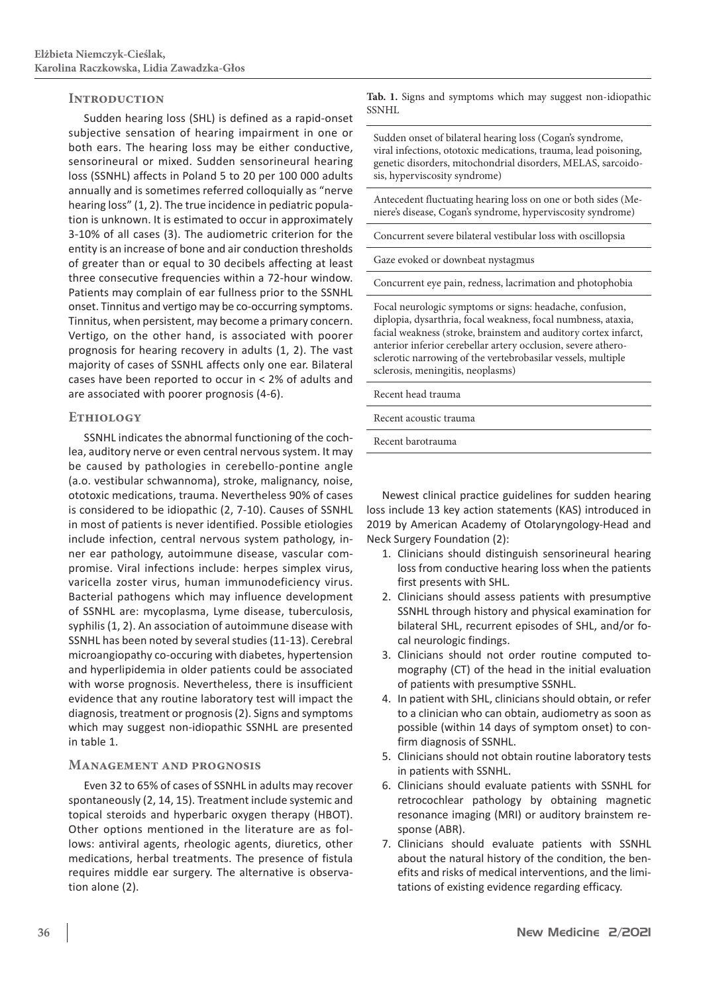#### **Introduction**

Sudden hearing loss (SHL) is defined as a rapid-onset subjective sensation of hearing impairment in one or both ears. The hearing loss may be either conductive, sensorineural or mixed. Sudden sensorineural hearing loss (SSNHL) affects in Poland 5 to 20 per 100 000 adults annually and is sometimes referred colloquially as "nerve hearing loss" (1, 2). The true incidence in pediatric population is unknown. It is estimated to occur in approximately 3-10% of all cases (3). The audiometric criterion for the entity is an increase of bone and air conduction thresholds of greater than or equal to 30 decibels affecting at least three consecutive frequencies within a 72-hour window. Patients may complain of ear fullness prior to the SSNHL onset. Tinnitus and vertigo may be co-occurring symptoms. Tinnitus, when persistent, may become a primary concern. Vertigo, on the other hand, is associated with poorer prognosis for hearing recovery in adults (1, 2). The vast majority of cases of SSNHL affects only one ear. Bilateral cases have been reported to occur in < 2% of adults and are associated with poorer prognosis (4-6).

#### **Ethiology**

SSNHL indicates the abnormal functioning of the cochlea, auditory nerve or even central nervous system. It may be caused by pathologies in cerebello-pontine angle (a.o. vestibular schwannoma), stroke, malignancy, noise, ototoxic medications, trauma. Nevertheless 90% of cases is considered to be idiopathic (2, 7-10). Causes of SSNHL in most of patients is never identified. Possible etiologies include infection, central nervous system pathology, inner ear pathology, autoimmune disease, vascular compromise. Viral infections include: herpes simplex virus, varicella zoster virus, human immunodeficiency virus. Bacterial pathogens which may influence development of SSNHL are: mycoplasma, Lyme disease, tuberculosis, syphilis (1, 2). An association of autoimmune disease with SSNHL has been noted by several studies(11-13). Cerebral microangiopathy co-occuring with diabetes, hypertension and hyperlipidemia in older patients could be associated with worse prognosis. Nevertheless, there is insufficient evidence that any routine laboratory test will impact the diagnosis, treatment or prognosis(2). Signs and symptoms which may suggest non-idiopathic SSNHL are presented in table 1.

### **Management and prognosis**

Even 32 to 65% of cases of SSNHL in adults may recover spontaneously (2, 14, 15). Treatment include systemic and topical steroids and hyperbaric oxygen therapy (HBOT). Other options mentioned in the literature are as follows: antiviral agents, rheologic agents, diuretics, other medications, herbal treatments. The presence of fistula requires middle ear surgery. The alternative is observation alone (2).

**Tab. 1.** Signs and symptoms which may suggest non-idiopathic SSNHL

Sudden onset of bilateral hearing loss (Cogan's syndrome, viral infections, ototoxic medications, trauma, lead poisoning, genetic disorders, mitochondrial disorders, MELAS, sarcoidosis, hyperviscosity syndrome)

Antecedent fluctuating hearing loss on one or both sides (Meniere's disease, Cogan's syndrome, hyperviscosity syndrome)

Concurrent severe bilateral vestibular loss with oscillopsia

Gaze evoked or downbeat nystagmus

Concurrent eye pain, redness, lacrimation and photophobia

Focal neurologic symptoms or signs: headache, confusion, diplopia, dysarthria, focal weakness, focal numbness, ataxia, facial weakness (stroke, brainstem and auditory cortex infarct, anterior inferior cerebellar artery occlusion, severe atherosclerotic narrowing of the vertebrobasilar vessels, multiple sclerosis, meningitis, neoplasms)

Recent head trauma

Recent acoustic trauma

Recent barotrauma

Newest clinical practice guidelines for sudden hearing loss include 13 key action statements (KAS) introduced in 2019 by American Academy of Otolaryngology-Head and Neck Surgery Foundation (2):

- 1. Clinicians should distinguish sensorineural hearing loss from conductive hearing loss when the patients first presents with SHL.
- 2. Clinicians should assess patients with presumptive SSNHL through history and physical examination for bilateral SHL, recurrent episodes of SHL, and/or focal neurologic findings.
- 3. Clinicians should not order routine computed tomography (CT) of the head in the initial evaluation of patients with presumptive SSNHL.
- 4. In patient with SHL, clinicians should obtain, or refer to a clinician who can obtain, audiometry as soon as possible (within 14 days of symptom onset) to confirm diagnosis of SSNHL.
- 5. Clinicians should not obtain routine laboratory tests in patients with SSNHL.
- 6. Clinicians should evaluate patients with SSNHL for retrocochlear pathology by obtaining magnetic resonance imaging (MRI) or auditory brainstem response (ABR).
- 7. Clinicians should evaluate patients with SSNHL about the natural history of the condition, the benefits and risks of medical interventions, and the limitations of existing evidence regarding efficacy.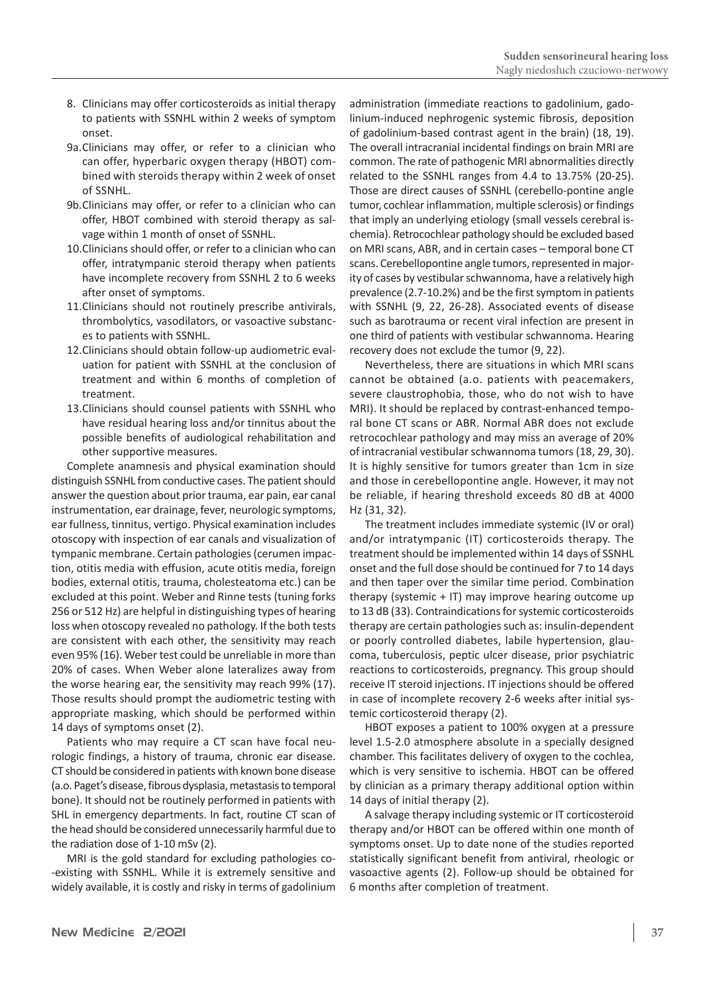- 8. Clinicians may offer corticosteroids as initial therapy to patients with SSNHL within 2 weeks of symptom onset.
- 9a.Clinicians may offer, or refer to a clinician who can offer, hyperbaric oxygen therapy (HBOT) combined with steroids therapy within 2 week of onset of SSNHL.
- 9b.Clinicians may offer, or refer to a clinician who can offer, HBOT combined with steroid therapy as salvage within 1 month of onset of SSNHL.
- 10.Clinicians should offer, or refer to a clinician who can offer, intratympanic steroid therapy when patients have incomplete recovery from SSNHL 2 to 6 weeks after onset of symptoms.
- 11.Clinicians should not routinely prescribe antivirals, thrombolytics, vasodilators, or vasoactive substances to patients with SSNHL.
- 12.Clinicians should obtain follow-up audiometric evaluation for patient with SSNHL at the conclusion of treatment and within 6 months of completion of treatment.
- 13.Clinicians should counsel patients with SSNHL who have residual hearing loss and/or tinnitus about the possible benefits of audiological rehabilitation and other supportive measures.

Complete anamnesis and physical examination should distinguish SSNHL from conductive cases. The patient should answer the question about prior trauma, ear pain, ear canal instrumentation, ear drainage, fever, neurologic symptoms, ear fullness, tinnitus, vertigo. Physical examination includes otoscopy with inspection of ear canals and visualization of tympanic membrane. Certain pathologies(cerumen impaction, otitis media with effusion, acute otitis media, foreign bodies, external otitis, trauma, cholesteatoma etc.) can be excluded at this point. Weber and Rinne tests (tuning forks 256 or 512 Hz) are helpful in distinguishing types of hearing loss when otoscopy revealed no pathology. If the both tests are consistent with each other, the sensitivity may reach even 95% (16). Weber test could be unreliable in more than 20% of cases. When Weber alone lateralizes away from the worse hearing ear, the sensitivity may reach 99% (17). Those results should prompt the audiometric testing with appropriate masking, which should be performed within 14 days of symptoms onset (2).

Patients who may require a CT scan have focal neurologic findings, a history of trauma, chronic ear disease. CT should be considered in patients with known bone disease (a.o. Paget's disease, fibrous dysplasia, metastasis to temporal bone). It should not be routinely performed in patients with SHL in emergency departments. In fact, routine CT scan of the head should be considered unnecessarily harmful due to the radiation dose of 1-10 mSv (2).

MRI is the gold standard for excluding pathologies co- -existing with SSNHL. While it is extremely sensitive and widely available, it is costly and risky in terms of gadolinium administration (immediate reactions to gadolinium, gadolinium-induced nephrogenic systemic fibrosis, deposition of gadolinium-based contrast agent in the brain) (18, 19). The overall intracranial incidental findings on brain MRI are common. The rate of pathogenic MRI abnormalities directly related to the SSNHL ranges from 4.4 to 13.75% (20-25). Those are direct causes of SSNHL (cerebello-pontine angle tumor, cochlear inflammation, multiple sclerosis) or findings that imply an underlying etiology (small vessels cerebral ischemia). Retrocochlear pathology should be excluded based on MRI scans, ABR, and in certain cases - temporal bone CT scans. Cerebellopontine angle tumors, represented in majority of cases by vestibular schwannoma, have a relatively high prevalence (2.7-10.2%) and be the first symptom in patients with SSNHL (9, 22, 26-28). Associated events of disease such as barotrauma or recent viral infection are present in one third of patients with vestibular schwannoma. Hearing recovery does not exclude the tumor (9, 22).

Nevertheless, there are situations in which MRI scans cannot be obtained (a.o. patients with peacemakers, severe claustrophobia, those, who do not wish to have MRI). It should be replaced by contrast-enhanced temporal bone CT scans or ABR. Normal ABR does not exclude retrocochlear pathology and may miss an average of 20% of intracranial vestibular schwannoma tumors(18, 29, 30). It is highly sensitive for tumors greater than 1cm in size and those in cerebellopontine angle. However, it may not be reliable, if hearing threshold exceeds 80 dB at 4000 Hz (31, 32).

The treatment includes immediate systemic (IV or oral) and/or intratympanic (IT) corticosteroids therapy. The treatment should be implemented within 14 days of SSNHL onset and the full dose should be continued for 7 to 14 days and then taper over the similar time period. Combination therapy (systemic + IT) may improve hearing outcome up to 13 dB (33). Contraindications for systemic corticosteroids therapy are certain pathologies such as: insulin-dependent or poorly controlled diabetes, labile hypertension, glaucoma, tuberculosis, peptic ulcer disease, prior psychiatric reactions to corticosteroids, pregnancy. This group should receive IT steroid injections. IT injections should be offered in case of incomplete recovery 2-6 weeks after initial systemic corticosteroid therapy (2).

HBOT exposes a patient to 100% oxygen at a pressure level 1.5-2.0 atmosphere absolute in a specially designed chamber. This facilitates delivery of oxygen to the cochlea, which is very sensitive to ischemia. HBOT can be offered by clinician as a primary therapy additional option within 14 days of initial therapy (2).

A salvage therapy including systemic or IT corticosteroid therapy and/or HBOT can be offered within one month of symptoms onset. Up to date none of the studies reported statistically significant benefit from antiviral, rheologic or vasoactive agents (2). Follow-up should be obtained for 6 months after completion of treatment.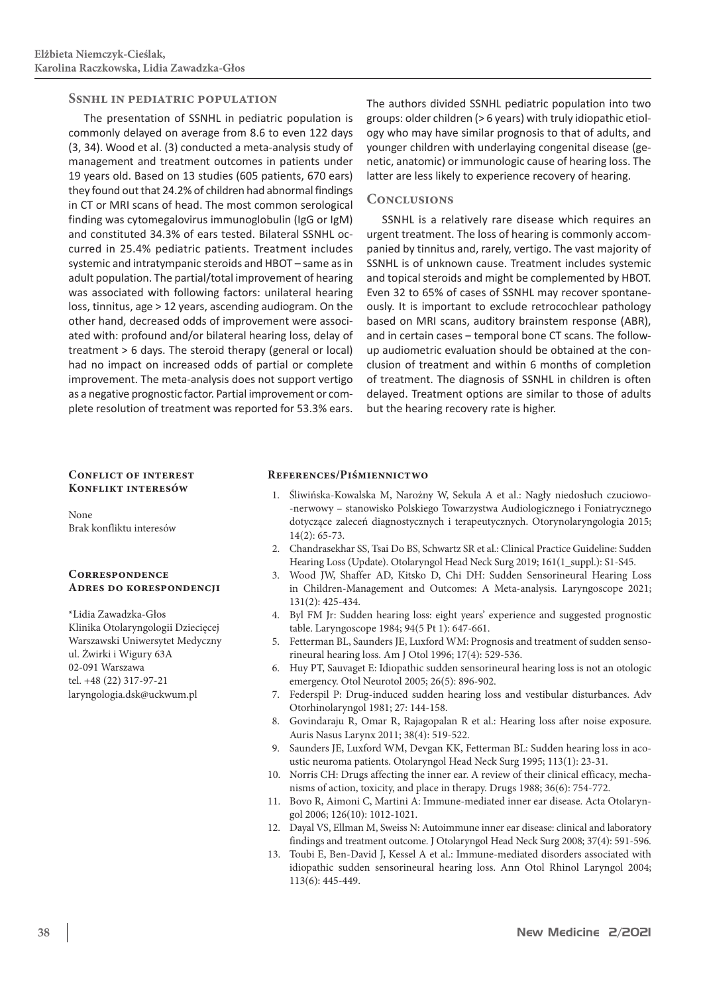#### **Ssnhl in pediatric population**

The presentation of SSNHL in pediatric population is commonly delayed on average from 8.6 to even 122 days (3, 34). Wood et al. (3) conducted a meta-analysis study of management and treatment outcomes in patients under 19 years old. Based on 13 studies (605 patients, 670 ears) they found out that 24.2% of children had abnormal findings in CT or MRI scans of head. The most common serological finding was cytomegalovirus immunoglobulin (IgG or IgM) and constituted 34.3% of ears tested. Bilateral SSNHL occurred in 25.4% pediatric patients. Treatment includes systemic and intratympanic steroids and HBOT – same as in adult population. The partial/total improvement of hearing was associated with following factors: unilateral hearing loss, tinnitus, age > 12 years, ascending audiogram. On the other hand, decreased odds of improvement were associated with: profound and/or bilateral hearing loss, delay of treatment > 6 days. The steroid therapy (general or local) had no impact on increased odds of partial or complete improvement. The meta-analysis does not support vertigo as a negative prognostic factor. Partial improvement or complete resolution of treatment was reported for 53.3% ears.

The authors divided SSNHL pediatric population into two groups: older children (> 6 years) with truly idiopathic etiology who may have similar prognosis to that of adults, and younger children with underlaying congenital disease (genetic, anatomic) or immunologic cause of hearing loss. The latter are less likely to experience recovery of hearing.

#### **Conclusions**

SSNHL is a relatively rare disease which requires an urgent treatment. The loss of hearing is commonly accompanied by tinnitus and, rarely, vertigo. The vast majority of SSNHL is of unknown cause. Treatment includes systemic and topical steroids and might be complemented by HBOT. Even 32 to 65% of cases of SSNHL may recover spontaneously. It is important to exclude retrocochlear pathology based on MRI scans, auditory brainstem response (ABR), and in certain cases - temporal bone CT scans. The followup audiometric evaluation should be obtained at the conclusion of treatment and within 6 months of completion of treatment. The diagnosis of SSNHL in children is often delayed. Treatment options are similar to those of adults but the hearing recovery rate is higher.

#### **Conflict of interest Konflikt interesów**

None Brak konfliktu interesów

#### **Correspondence Adres do korespondencji**

\*Lidia Zawadzka-Głos Klinika Otolaryngologii Dziecięcej Warszawski Uniwersytet Medyczny ul. Żwirki i Wigury 63A 02-091 Warszawa tel. +48 (22) 317-97-21 laryngologia.dsk@uckwum.pl

#### **References/Piśmiennictwo**

- 1. Śliwińska-Kowalska M, Narożny W, Sekula A et al.: Nagły niedosłuch czuciowo- -nerwowy – stanowisko Polskiego Towarzystwa Audiologicznego i Foniatrycznego dotyczące zaleceń diagnostycznych i terapeutycznych. Otorynolaryngologia 2015; 14(2): 65-73.
- 2. Chandrasekhar SS, Tsai Do BS, Schwartz SR et al.: Clinical Practice Guideline: Sudden Hearing Loss (Update). Otolaryngol Head Neck Surg 2019; 161(1\_suppl.): S1-S45.
- 3. Wood JW, Shaffer AD, Kitsko D, Chi DH: Sudden Sensorineural Hearing Loss in Children-Management and Outcomes: A Meta-analysis. Laryngoscope 2021; 131(2): 425-434.
- 4. Byl FM Jr: Sudden hearing loss: eight years' experience and suggested prognostic table. Laryngoscope 1984; 94(5 Pt 1): 647-661.
- 5. Fetterman BL, Saunders JE, Luxford WM: Prognosis and treatment of sudden sensorineural hearing loss. Am J Otol 1996; 17(4): 529-536.
- 6. Huy PT, Sauvaget E: Idiopathic sudden sensorineural hearing loss is not an otologic emergency. Otol Neurotol 2005; 26(5): 896-902.
- 7. Federspil P: Drug-induced sudden hearing loss and vestibular disturbances. Adv Otorhinolaryngol 1981; 27: 144-158.
- 8. Govindaraju R, Omar R, Rajagopalan R et al.: Hearing loss after noise exposure. Auris Nasus Larynx 2011; 38(4): 519-522.
- 9. Saunders JE, Luxford WM, Devgan KK, Fetterman BL: Sudden hearing loss in acoustic neuroma patients. Otolaryngol Head Neck Surg 1995; 113(1): 23-31.
- 10. Norris CH: Drugs affecting the inner ear. A review of their clinical efficacy, mechanisms of action, toxicity, and place in therapy. Drugs 1988; 36(6): 754-772.
- 11. Bovo R, Aimoni C, Martini A: Immune-mediated inner ear disease. Acta Otolaryngol 2006; 126(10): 1012-1021.
- 12. Dayal VS, Ellman M, Sweiss N: Autoimmune inner ear disease: clinical and laboratory findings and treatment outcome. J Otolaryngol Head Neck Surg 2008; 37(4): 591-596.
- 13. Toubi E, Ben-David J, Kessel A et al.: Immune-mediated disorders associated with idiopathic sudden sensorineural hearing loss. Ann Otol Rhinol Laryngol 2004; 113(6): 445-449.